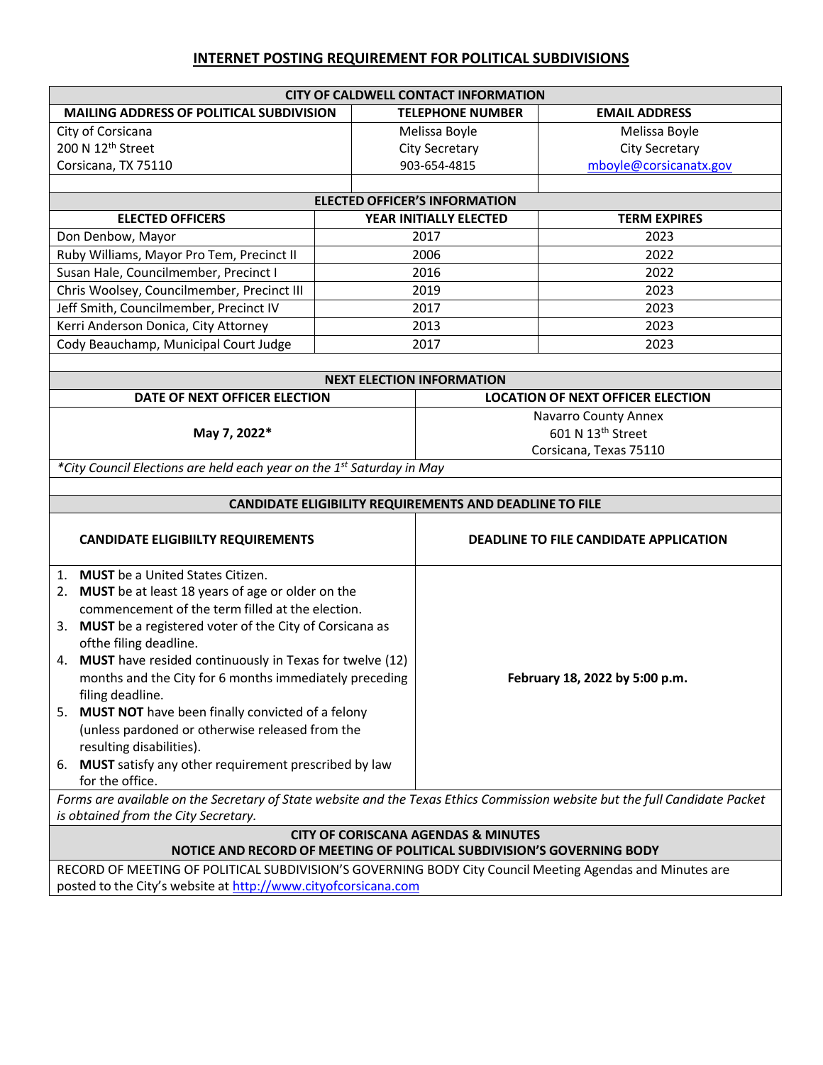## **INTERNET POSTING REQUIREMENT FOR POLITICAL SUBDIVISIONS**

| <b>CITY OF CALDWELL CONTACT INFORMATION</b>                                                                                 |      |                                                              |                        |                                     |  |
|-----------------------------------------------------------------------------------------------------------------------------|------|--------------------------------------------------------------|------------------------|-------------------------------------|--|
| MAILING ADDRESS OF POLITICAL SUBDIVISION                                                                                    |      | <b>TELEPHONE NUMBER</b>                                      | <b>EMAIL ADDRESS</b>   |                                     |  |
| City of Corsicana                                                                                                           |      | Melissa Boyle<br>Melissa Boyle                               |                        |                                     |  |
| 200 N 12th Street                                                                                                           |      | City Secretary                                               | <b>City Secretary</b>  |                                     |  |
| Corsicana, TX 75110                                                                                                         |      | 903-654-4815                                                 | mboyle@corsicanatx.gov |                                     |  |
|                                                                                                                             |      |                                                              |                        |                                     |  |
| <b>ELECTED OFFICER'S INFORMATION</b>                                                                                        |      |                                                              |                        |                                     |  |
| <b>ELECTED OFFICERS</b>                                                                                                     |      | YEAR INITIALLY ELECTED                                       | <b>TERM EXPIRES</b>    |                                     |  |
| Don Denbow, Mayor                                                                                                           |      | 2017                                                         | 2023                   |                                     |  |
| Ruby Williams, Mayor Pro Tem, Precinct II                                                                                   |      | 2006                                                         | 2022                   |                                     |  |
| Susan Hale, Councilmember, Precinct I                                                                                       |      | 2016                                                         | 2022                   |                                     |  |
| Chris Woolsey, Councilmember, Precinct III                                                                                  | 2019 |                                                              | 2023                   |                                     |  |
| Jeff Smith, Councilmember, Precinct IV                                                                                      |      | 2017                                                         | 2023                   |                                     |  |
| Kerri Anderson Donica, City Attorney                                                                                        |      | 2013                                                         | 2023                   |                                     |  |
| Cody Beauchamp, Municipal Court Judge                                                                                       | 2017 |                                                              | 2023                   |                                     |  |
|                                                                                                                             |      |                                                              |                        |                                     |  |
| <b>NEXT ELECTION INFORMATION</b><br>DATE OF NEXT OFFICER ELECTION                                                           |      |                                                              |                        |                                     |  |
|                                                                                                                             |      | <b>LOCATION OF NEXT OFFICER ELECTION</b>                     |                        |                                     |  |
| May 7, 2022*                                                                                                                |      | <b>Navarro County Annex</b><br>601 N 13 <sup>th</sup> Street |                        |                                     |  |
|                                                                                                                             |      | Corsicana, Texas 75110                                       |                        |                                     |  |
| *City Council Elections are held each year on the 1 <sup>st</sup> Saturday in May                                           |      |                                                              |                        |                                     |  |
|                                                                                                                             |      |                                                              |                        |                                     |  |
|                                                                                                                             |      | CANDIDATE ELIGIBILITY REQUIREMENTS AND DEADLINE TO FILE      |                        |                                     |  |
|                                                                                                                             |      |                                                              |                        |                                     |  |
| <b>CANDIDATE ELIGIBIILTY REQUIREMENTS</b>                                                                                   |      | <b>DEADLINE TO FILE CANDIDATE APPLICATION</b>                |                        |                                     |  |
|                                                                                                                             |      |                                                              |                        | 1. MUST be a United States Citizen. |  |
| 2. MUST be at least 18 years of age or older on the                                                                         |      |                                                              |                        |                                     |  |
| commencement of the term filled at the election.                                                                            |      |                                                              |                        |                                     |  |
| 3. MUST be a registered voter of the City of Corsicana as                                                                   |      |                                                              |                        |                                     |  |
| ofthe filing deadline.                                                                                                      |      |                                                              |                        |                                     |  |
| 4. MUST have resided continuously in Texas for twelve (12)                                                                  |      | February 18, 2022 by 5:00 p.m.                               |                        |                                     |  |
| months and the City for 6 months immediately preceding                                                                      |      |                                                              |                        |                                     |  |
| filing deadline.                                                                                                            |      |                                                              |                        |                                     |  |
| 5. MUST NOT have been finally convicted of a felony                                                                         |      |                                                              |                        |                                     |  |
| (unless pardoned or otherwise released from the<br>resulting disabilities).                                                 |      |                                                              |                        |                                     |  |
|                                                                                                                             |      |                                                              |                        |                                     |  |
| MUST satisfy any other requirement prescribed by law<br>6.<br>for the office.                                               |      |                                                              |                        |                                     |  |
| Forms are available on the Secretary of State website and the Texas Ethics Commission website but the full Candidate Packet |      |                                                              |                        |                                     |  |
| is obtained from the City Secretary.                                                                                        |      |                                                              |                        |                                     |  |
| <b>CITY OF CORISCANA AGENDAS &amp; MINUTES</b>                                                                              |      |                                                              |                        |                                     |  |
| NOTICE AND RECORD OF MEETING OF POLITICAL SUBDIVISION'S GOVERNING BODY                                                      |      |                                                              |                        |                                     |  |
| RECORD OF MEETING OF POLITICAL SUBDIVISION'S GOVERNING BODY City Council Meeting Agendas and Minutes are                    |      |                                                              |                        |                                     |  |
| posted to the City's website at http://www.cityofcorsicana.com                                                              |      |                                                              |                        |                                     |  |
|                                                                                                                             |      |                                                              |                        |                                     |  |